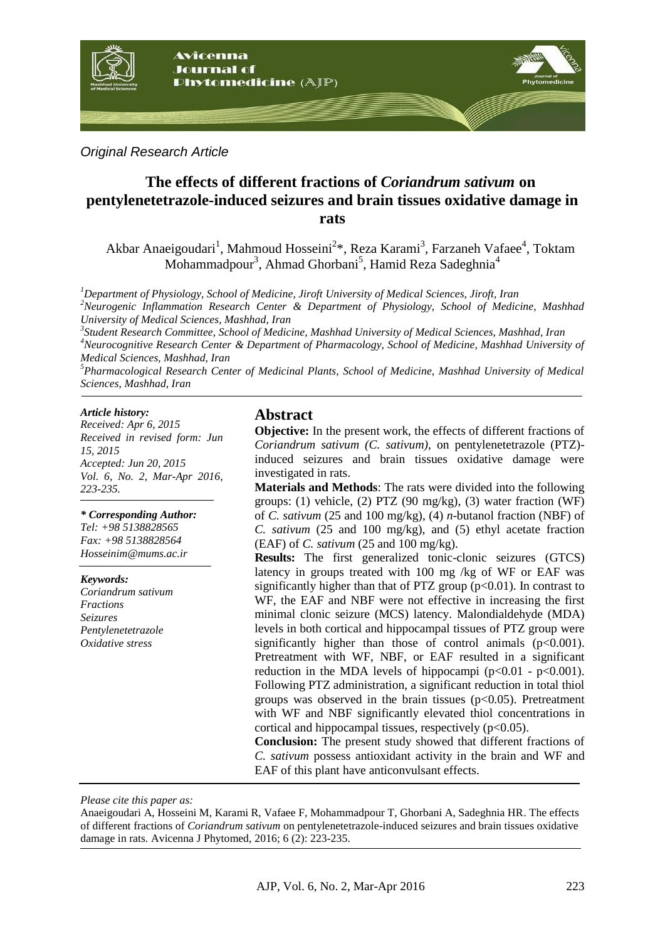

*Original Research Article*

## **The effects of different fractions of** *Coriandrum sativum* **on pentylenetetrazole-induced seizures and brain tissues oxidative damage in rats**

Akbar Anaeigoudari<sup>1</sup>, Mahmoud Hosseini<sup>2\*</sup>, Reza Karami<sup>3</sup>, Farzaneh Vafaee<sup>4</sup>, Toktam Mohammadpour<sup>3</sup>, Ahmad Ghorbani<sup>5</sup>, Hamid Reza Sadeghnia<sup>4</sup>

*<sup>1</sup>Department of Physiology, School of Medicine, Jiroft University of Medical Sciences, Jiroft, Iran <sup>2</sup>Neurogenic Inflammation Research Center & Department of Physiology, School of Medicine, Mashhad University of Medical Sciences, Mashhad, Iran*

*3 Student Research Committee, School of Medicine, Mashhad University of Medical Sciences, Mashhad, Iran <sup>4</sup>Neurocognitive Research Center & Department of Pharmacology, School of Medicine, Mashhad University of Medical Sciences, Mashhad, Iran*

*<sup>5</sup>Pharmacological Research Center of Medicinal Plants, School of Medicine, Mashhad University of Medical Sciences, Mashhad, Iran*

#### *Article history:*

*Received: Apr 6, 2015 Received in revised form: Jun 15, 2015 Accepted: Jun 20, 2015 Vol. 6, No. 2, Mar-Apr 2016, 223-235.*

#### *\* Corresponding Author:*

*Tel: +98 5138828565 Fax: +98 5138828564 Hosseinim@mums.ac.ir*

#### *Keywords:*

*Coriandrum sativum Fractions Seizures Pentylenetetrazole Oxidative stress*

#### **Abstract**

**Objective:** In the present work, the effects of different fractions of *Coriandrum sativum (C. sativum)*, on pentylenetetrazole (PTZ) induced seizures and brain tissues oxidative damage were investigated in rats.

**Materials and Methods**: The rats were divided into the following groups: (1) vehicle, (2) PTZ (90 mg/kg), (3) water fraction (WF) of *C. sativum* (25 and 100 mg/kg), (4) *n*-butanol fraction (NBF) of *C. sativum* (25 and 100 mg/kg), and (5) ethyl acetate fraction (EAF) of *C. sativum* (25 and 100 mg/kg).

**Results:** The first generalized tonic-clonic seizures (GTCS) latency in groups treated with 100 mg /kg of WF or EAF was significantly higher than that of PTZ group  $(p<0.01)$ . In contrast to WF, the EAF and NBF were not effective in increasing the first minimal clonic seizure (MCS) latency. Malondialdehyde (MDA) levels in both cortical and hippocampal tissues of PTZ group were significantly higher than those of control animals  $(p<0.001)$ . Pretreatment with WF, NBF, or EAF resulted in a significant reduction in the MDA levels of hippocampi ( $p<0.01$  -  $p<0.001$ ). Following PTZ administration, a significant reduction in total thiol groups was observed in the brain tissues ( $p<0.05$ ). Pretreatment with WF and NBF significantly elevated thiol concentrations in cortical and hippocampal tissues, respectively  $(p<0.05)$ .

**Conclusion:** The present study showed that different fractions of *C. sativum* possess antioxidant activity in the brain and WF and EAF of this plant have anticonvulsant effects.

*Please cite this paper as:*

Anaeigoudari A, Hosseini M, Karami R, Vafaee F, Mohammadpour T, Ghorbani A, Sadeghnia HR. The effects of different fractions of *Coriandrum sativum* on pentylenetetrazole-induced seizures and brain tissues oxidative damage in rats. Avicenna J Phytomed, 2016; 6 (2): 223-235.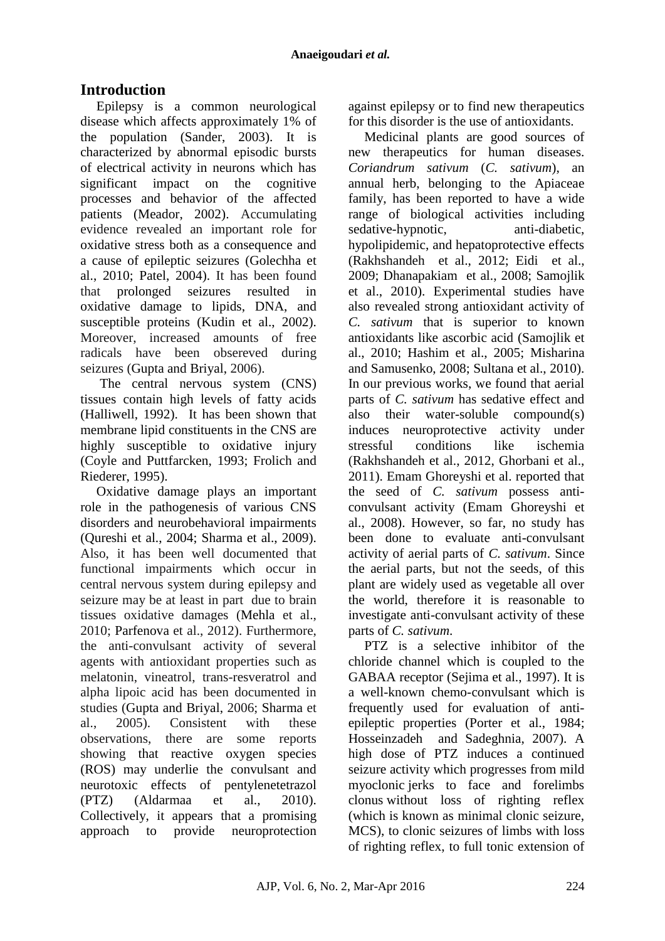# **Introduction**

Epilepsy is a common neurological disease which affects approximately 1% of the population (Sander, 2003). It is characterized by abnormal episodic bursts of electrical activity in neurons which has significant impact on the cognitive processes and behavior of the affected patients (Meador, 2002). Accumulating evidence revealed an important role for oxidative stress both as a consequence and a cause of epileptic seizures (Golechha et al., 2010; Patel, 2004). It has been found that prolonged seizures resulted in oxidative damage to lipids, DNA, and susceptible proteins (Kudin et al., 2002). Moreover, increased amounts of free radicals have been obsereved during seizures (Gupta and Briyal, 2006).

The central nervous system (CNS) tissues contain high levels of fatty acids (Halliwell, 1992). It has been shown that membrane lipid constituents in the CNS are highly susceptible to oxidative injury (Coyle and Puttfarcken, 1993; Frolich and Riederer, 1995).

Oxidative damage plays an important role in the pathogenesis of various CNS disorders and neurobehavioral impairments (Qureshi et al., 2004; Sharma et al., 2009). Also, it has been well documented that functional impairments which occur in central nervous system during epilepsy and seizure may be at least in part due to brain tissues oxidative damages (Mehla et al., 2010; Parfenova et al., 2012). Furthermore, the anti-convulsant activity of several agents with antioxidant properties such as melatonin, vineatrol, trans-resveratrol and alpha lipoic acid has been documented in studies (Gupta and Briyal, 2006; Sharma et al., 2005). Consistent with these observations, there are some reports showing that reactive oxygen species (ROS) may underlie the convulsant and neurotoxic effects of pentylenetetrazol (PTZ) (Aldarmaa et al., 2010). Collectively, it appears that a promising approach to provide neuroprotection against epilepsy or to find new therapeutics for this disorder is the use of antioxidants.

Medicinal plants are good sources of new therapeutics for human diseases. *Coriandrum sativum* (*C. sativum*), an annual herb, belonging to the Apiaceae family, has been reported to have a wide range of biological activities including sedative-hypnotic, anti-diabetic, hypolipidemic, and hepatoprotective effects (Rakhshandeh et al., 2012; Eidi et al., 2009; Dhanapakiam et al., 2008; Samojlik et al., 2010). Experimental studies have also revealed strong antioxidant activity of *C. sativum* that is superior to known antioxidants like ascorbic acid (Samojlik et al., 2010; Hashim et al., 2005; Misharina and Samusenko, 2008; Sultana et al., 2010). In our previous works, we found that aerial parts of *C. sativum* has sedative effect and also their water-soluble compound(s) induces neuroprotective activity under stressful conditions like ischemia (Rakhshandeh et al., 2012, Ghorbani et al., 2011). Emam Ghoreyshi et al. reported that the seed of *C. sativum* possess anticonvulsant activity (Emam Ghoreyshi et al., 2008). However, so far, no study has been done to evaluate anti-convulsant activity of aerial parts of *C. sativum*. Since the aerial parts, but not the seeds, of this plant are widely used as vegetable all over the world, therefore it is reasonable to investigate anti-convulsant activity of these parts of *C. sativum*.

PTZ is a selective inhibitor of the chloride channel which is coupled to the GABAA receptor (Sejima et al., 1997). It is a well-known chemo-convulsant which is frequently used for evaluation of antiepileptic properties (Porter et al., 1984; [Hosseinzadeh](http://www.ncbi.nlm.nih.gov/pubmed?term=Hosseinzadeh%20H%5BAuthor%5D&cauthor=true&cauthor_uid=16707256) and [Sadeghnia,](http://www.ncbi.nlm.nih.gov/pubmed?term=Sadeghnia%20HR%5BAuthor%5D&cauthor=true&cauthor_uid=16707256) 2007). A high dose of PTZ induces a continued seizure activity which progresses from mild [myoclonic](http://medical-dictionary.thefreedictionary.com/myoclonic) jerks to face and forelimbs [clonus](http://medical-dictionary.thefreedictionary.com/clonus) without loss of righting reflex (which is known as minimal clonic seizure, MCS), to clonic seizures of limbs with loss of righting reflex, to full tonic extension of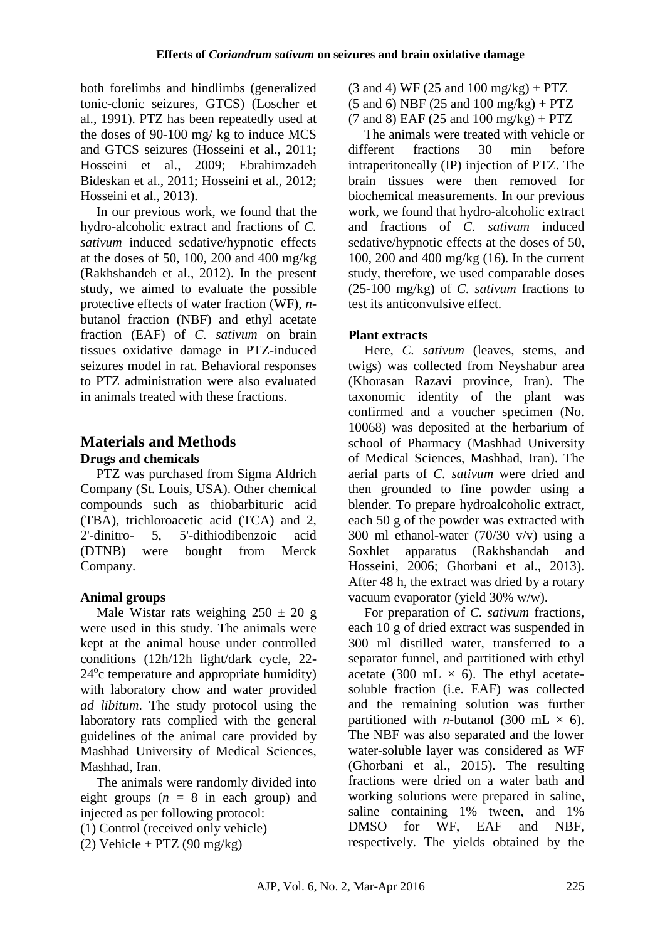both forelimbs and hindlimbs (generalized tonic-clonic seizures, GTCS) (Loscher et al., 1991). PTZ has been repeatedly used at the doses of 90-100 mg/ kg to induce MCS and GTCS seizures (Hosseini et al., 2011; Hosseini et al., 2009; Ebrahimzadeh Bideskan et al., 2011; Hosseini et al., 2012; Hosseini et al., 2013).

In our previous work, we found that the hydro-alcoholic extract and fractions of *C. sativum* induced sedative/hypnotic effects at the doses of 50, 100, 200 and 400 mg/kg (Rakhshandeh et al., 2012). In the present study, we aimed to evaluate the possible protective effects of water fraction (WF), *n*butanol fraction (NBF) and ethyl acetate fraction (EAF) of *C. sativum* on brain tissues oxidative damage in PTZ-induced seizures model in rat. Behavioral responses to PTZ administration were also evaluated in animals treated with these fractions.

# **Materials and Methods**

#### **Drugs and chemicals**

PTZ was purchased from Sigma Aldrich Company (St. Louis, USA). Other chemical compounds such as thiobarbituric acid (TBA), trichloroacetic acid (TCA) and 2, 2'-dinitro- 5, 5'-dithiodibenzoic acid (DTNB) were bought from Merck Company.

#### **Animal groups**

Male Wistar rats weighing  $250 \pm 20$  g were used in this study. The animals were kept at the animal house under controlled conditions (12h/12h light/dark cycle, 22- 24° c temperature and appropriate humidity) with laboratory chow and water provided *ad libitum*. The study protocol using the laboratory rats complied with the general guidelines of the animal care provided by Mashhad University of Medical Sciences, Mashhad, Iran.

The animals were randomly divided into eight groups  $(n = 8$  in each group) and injected as per following protocol:

(1) Control (received only vehicle)

(2) Vehicle + PTZ (90 mg/kg)

 $(3 \text{ and } 4) \text{ WF} (25 \text{ and } 100 \text{ mg/kg}) + PTZ$  $(5 \text{ and } 6) \text{ NBF} (25 \text{ and } 100 \text{ mg/kg}) + PTZ$  $(7 \text{ and } 8)$  EAF (25 and 100 mg/kg) + PTZ

The animals were treated with vehicle or different fractions 30 min before intraperitoneally (IP) injection of PTZ. The brain tissues were then removed for biochemical measurements. In our previous work, we found that hydro-alcoholic extract and fractions of *C. sativum* induced sedative/hypnotic effects at the doses of 50, 100, 200 and 400 mg/kg (16). In the current study, therefore, we used comparable doses (25-100 mg/kg) of *C. sativum* fractions to test its anticonvulsive effect.

### **Plant extracts**

Here, *C. sativum* (leaves, stems, and twigs) was collected from Neyshabur area (Khorasan Razavi province, Iran). The taxonomic identity of the plant was confirmed and a voucher specimen (No. 10068) was deposited at the herbarium of school of Pharmacy (Mashhad University of Medical Sciences, Mashhad, Iran). The aerial parts of *C. sativum* were dried and then grounded to fine powder using a blender. To prepare hydroalcoholic extract, each 50 g of the powder was extracted with 300 ml ethanol-water (70/30 v/v) using a Soxhlet apparatus (Rakhshandah and Hosseini, 2006; Ghorbani et al., 2013). After 48 h, the extract was dried by a rotary vacuum evaporator (yield 30% w/w).

For preparation of *C. sativum* fractions, each 10 g of dried extract was suspended in 300 ml distilled water, transferred to a separator funnel, and partitioned with ethyl acetate (300 mL  $\times$  6). The ethyl acetatesoluble fraction (i.e. EAF) was collected and the remaining solution was further partitioned with *n*-butanol (300 mL  $\times$  6). The NBF was also separated and the lower water-soluble layer was considered as WF (Ghorbani et al., 2015). The resulting fractions were dried on a water bath and working solutions were prepared in saline, saline containing 1% tween, and 1% DMSO for WF, EAF and NBF, respectively. The yields obtained by the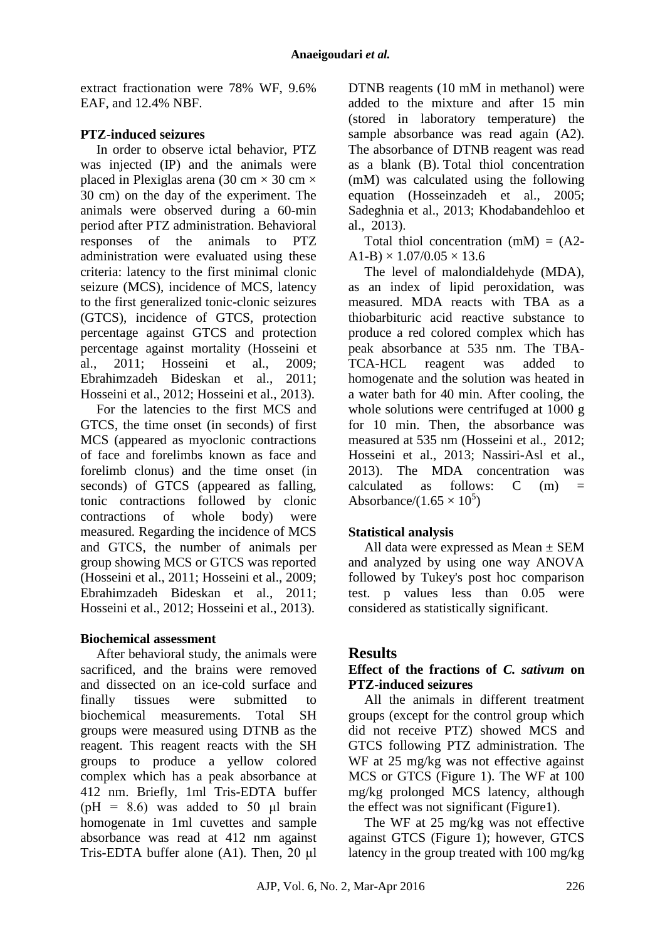extract fractionation were 78% WF, 9.6% EAF, and 12.4% NBF.

#### **PTZ-induced seizures**

In order to observe ictal behavior, PTZ was injected (IP) and the animals were placed in Plexiglas arena (30 cm  $\times$  30 cm  $\times$ 30 cm) on the day of the experiment. The animals were observed during a 60-min period after PTZ administration. Behavioral responses of the animals to PTZ administration were evaluated using these criteria: latency to the first minimal clonic seizure (MCS), incidence of MCS, latency to the first generalized tonic-clonic seizures (GTCS), incidence of GTCS, protection percentage against GTCS and protection percentage against mortality (Hosseini et al., 2011; Hosseini et al., 2009; Ebrahimzadeh Bideskan et al., 2011; Hosseini et al., 2012; Hosseini et al., 2013).

For the latencies to the first MCS and GTCS, the time onset (in seconds) of first MCS (appeared as myoclonic contractions of face and forelimbs known as face and forelimb clonus) and the time onset (in seconds) of GTCS (appeared as falling, tonic contractions followed by clonic contractions of whole body) were measured. Regarding the incidence of MCS and GTCS, the number of animals per group showing MCS or GTCS was reported (Hosseini et al., 2011; Hosseini et al., 2009; Ebrahimzadeh Bideskan et al., 2011; Hosseini et al., 2012; Hosseini et al., 2013).

#### **Biochemical assessment**

After behavioral study, the animals were sacrificed, and the brains were removed and dissected on an ice-cold surface and finally tissues were submitted to biochemical measurements. Total SH groups were measured using DTNB as the reagent. This reagent reacts with the SH groups to produce a yellow colored complex which has a peak absorbance at 412 nm. Briefly, 1ml Tris-EDTA buffer (pH =  $8.6$ ) was added to  $50$  µl brain homogenate in 1ml cuvettes and sample absorbance was read at 412 nm against Tris-EDTA buffer alone (A1). Then, 20 μl DTNB reagents (10 mM in methanol) were added to the mixture and after 15 min (stored in laboratory temperature) the sample absorbance was read again (A2). The absorbance of DTNB reagent was read as a blank (B). Total thiol concentration (mM) was calculated using the following equation (Hosseinzadeh et al., 2005; Sadeghnia et al., 2013; Khodabandehloo et al., 2013).

Total thiol concentration  $(mM) = (A2 A1-B$ ) × 1.07/0.05 × 13.6

The level of malondialdehyde (MDA), as an index of lipid peroxidation, was measured. MDA reacts with TBA as a thiobarbituric acid reactive substance to produce a red colored complex which has peak absorbance at 535 nm. The TBA-TCA-HCL reagent was added to homogenate and the solution was heated in a water bath for 40 min. After cooling, the whole solutions were centrifuged at 1000 g for 10 min. Then, the absorbance was measured at 535 nm (Hosseini et al., 2012; Hosseini et al., 2013; Nassiri-Asl et al., 2013). The MDA concentration was calculated as follows:  $C \t(m) =$ Absorbance/(1.65  $\times$  10<sup>5</sup>)

## **Statistical analysis**

All data were expressed as Mean  $\pm$  SEM and analyzed by using one way ANOVA followed by Tukey's post hoc comparison test. p values less than 0.05 were considered as statistically significant.

## **Results**

#### **Effect of the fractions of** *C. sativum* **on PTZ-induced seizures**

All the animals in different treatment groups (except for the control group which did not receive PTZ) showed MCS and GTCS following PTZ administration. The WF at 25 mg/kg was not effective against MCS or GTCS (Figure 1). The WF at 100 mg/kg prolonged MCS latency, although the effect was not significant (Figure1).

The WF at 25 mg/kg was not effective against GTCS (Figure 1); however, GTCS latency in the group treated with 100 mg/kg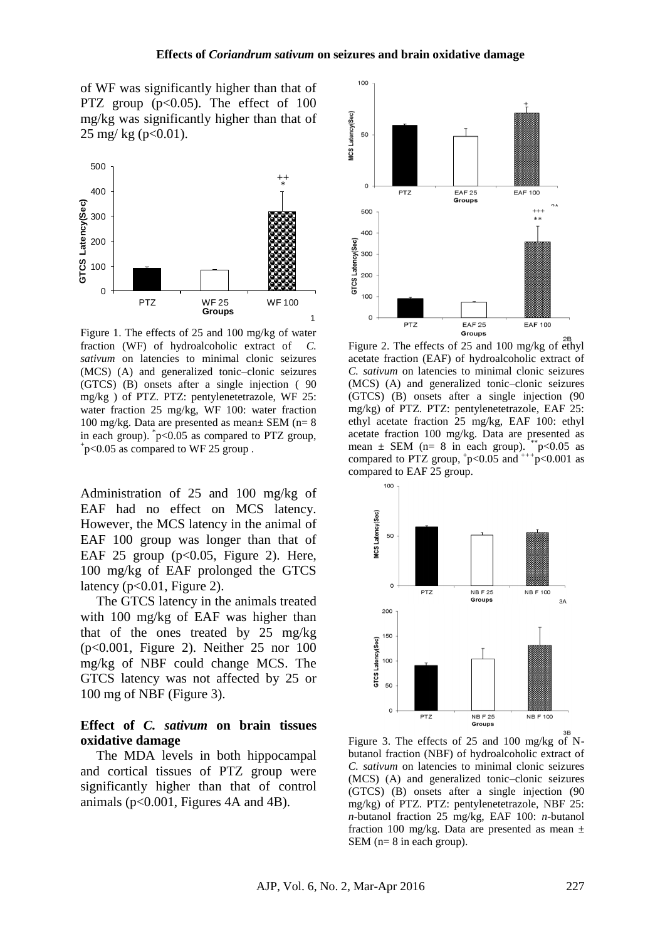of WF was significantly higher than that of PTZ group  $(p<0.05)$ . The effect of 100 mg/kg was significantly higher than that of 25 mg/ kg (p< $0.01$ ).



Figure 1. The effects of 25 and 100 mg/kg of water fraction (WF) of hydroalcoholic extract of *C. sativum* on latencies to minimal clonic seizures (MCS) (A) and generalized tonic–clonic seizures (GTCS) (B) onsets after a single injection ( 90 mg/kg ) of PTZ. PTZ: pentylenetetrazole, WF 25: water fraction 25 mg/kg, WF 100: water fraction 100 mg/kg. Data are presented as mean $\pm$  SEM (n= 8) in each group). \* p<0.05 as compared to PTZ group,  $p$  <0.05 as compared to WF 25 group.

Administration of 25 and 100 mg/kg of EAF had no effect on MCS latency. However, the MCS latency in the animal of EAF 100 group was longer than that of EAF 25 group ( $p<0.05$ , Figure 2). Here, 100 mg/kg of EAF prolonged the GTCS latency ( $p<0.01$ , Figure 2).

The GTCS latency in the animals treated with 100 mg/kg of EAF was higher than that of the ones treated by 25 mg/kg (p<0.001, Figure 2). Neither 25 nor 100 mg/kg of NBF could change MCS. The GTCS latency was not affected by 25 or 100 mg of NBF (Figure 3).

#### **Effect of** *C. sativum* **on brain tissues oxidative damage**

The MDA levels in both hippocampal and cortical tissues of PTZ group were significantly higher than that of control animals ( $p<0.001$ , Figures 4A and 4B).



Figure 2. The effects of 25 and 100 mg/kg of ethyl acetate fraction (EAF) of hydroalcoholic extract of *C. sativum* on latencies to minimal clonic seizures (MCS) (A) and generalized tonic–clonic seizures (GTCS) (B) onsets after a single injection (90 mg/kg) of PTZ. PTZ: pentylenetetrazole, EAF 25: ethyl acetate fraction 25 mg/kg, EAF 100: ethyl acetate fraction 100 mg/kg. Data are presented as mean  $\pm$  SEM (n= 8 in each group). \*\*p<0.05 as compared to PTZ group,  $+p<0.05$  and  $^{+++}p<0.001$  as compared to EAF 25 group.



Figure 3. The effects of 25 and 100 mg/kg of Nbutanol fraction (NBF) of hydroalcoholic extract of *C. sativum* on latencies to minimal clonic seizures (MCS) (A) and generalized tonic–clonic seizures (GTCS) (B) onsets after a single injection (90 mg/kg) of PTZ. PTZ: pentylenetetrazole, NBF 25: *n*-butanol fraction 25 mg/kg, EAF 100: *n*-butanol fraction 100 mg/kg. Data are presented as mean  $\pm$ SEM (n= 8 in each group).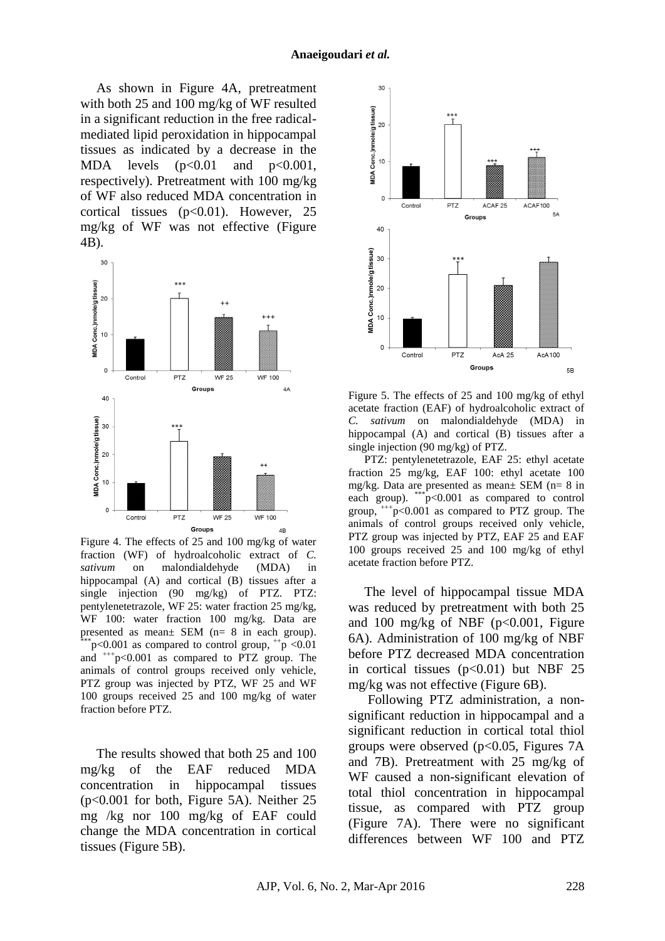As shown in Figure 4A, pretreatment with both 25 and 100 mg/kg of WF resulted in a significant reduction in the free radicalmediated lipid peroxidation in hippocampal tissues as indicated by a decrease in the MDA levels  $(p<0.01$  and  $p<0.001$ , respectively). Pretreatment with 100 mg/kg of WF also reduced MDA concentration in cortical tissues (p<0.01). However, 25 mg/kg of WF was not effective (Figure 4B).



Figure 4. The effects of 25 and 100 mg/kg of water fraction (WF) of hydroalcoholic extract of *C. sativum* on malondialdehyde (MDA) in hippocampal (A) and cortical (B) tissues after a single injection (90 mg/kg) of PTZ. PTZ: pentylenetetrazole, WF 25: water fraction 25 mg/kg, WF 100: water fraction 100 mg/kg. Data are presented as mean± SEM (n= 8 in each group).  $p<0.001$  as compared to control group,  $+p < 0.01$ and  $^{++}$ p<0.001 as compared to PTZ group. The animals of control groups received only vehicle, PTZ group was injected by PTZ, WF 25 and WF 100 groups received 25 and 100 mg/kg of water fraction before PTZ.

The results showed that both 25 and 100 mg/kg of the EAF reduced MDA concentration in hippocampal tissues (p<0.001 for both, Figure 5A). Neither 25 mg /kg nor 100 mg/kg of EAF could change the MDA concentration in cortical tissues (Figure 5B).



Figure 5. The effects of 25 and 100 mg/kg of ethyl acetate fraction (EAF) of hydroalcoholic extract of *C. sativum* on malondialdehyde (MDA) in hippocampal (A) and cortical (B) tissues after a single injection (90 mg/kg) of PTZ.

PTZ: pentylenetetrazole, EAF 25: ethyl acetate fraction 25 mg/kg, EAF 100: ethyl acetate 100 mg/kg. Data are presented as mean $\pm$  SEM (n= 8 in each group).  $\binom{***}{+}$   $\infty$  0.001 as compared to control group,  $^{++}$ p<0.001 as compared to PTZ group. The animals of control groups received only vehicle, PTZ group was injected by PTZ, EAF 25 and EAF 100 groups received 25 and 100 mg/kg of ethyl acetate fraction before PTZ.

The level of hippocampal tissue MDA was reduced by pretreatment with both 25 and 100 mg/kg of NBF ( $p<0.001$ , Figure 6A). Administration of 100 mg/kg of NBF before PTZ decreased MDA concentration in cortical tissues  $(p<0.01)$  but NBF 25 mg/kg was not effective (Figure 6B).

Following PTZ administration, a nonsignificant reduction in hippocampal and a significant reduction in cortical total thiol groups were observed ( $p<0.05$ , Figures 7A and 7B). Pretreatment with 25 mg/kg of WF caused a non-significant elevation of total thiol concentration in hippocampal tissue, as compared with PTZ group (Figure 7A). There were no significant differences between WF 100 and PTZ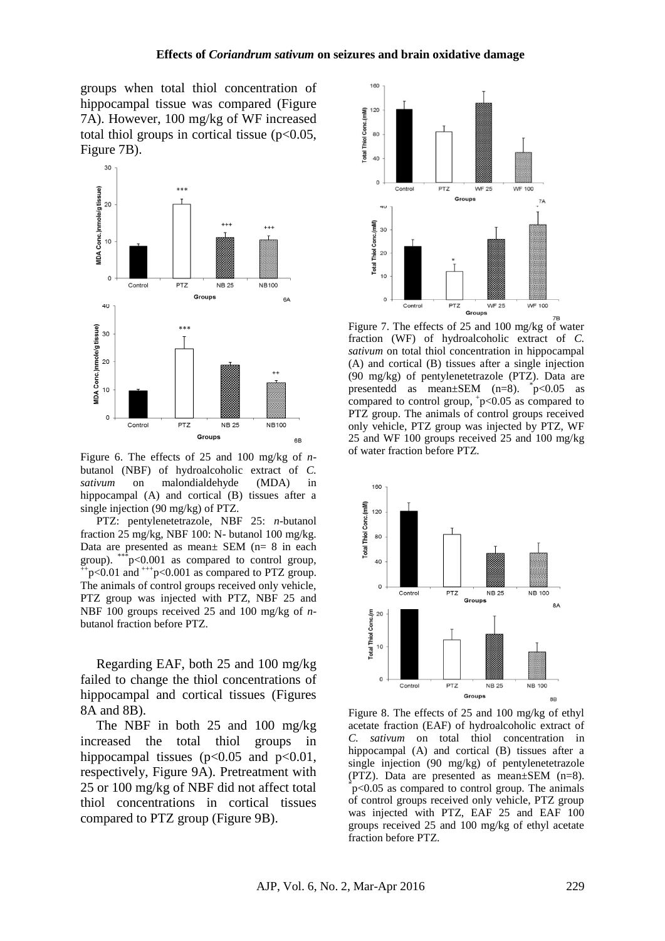groups when total thiol concentration of hippocampal tissue was compared (Figure 7A). However, 100 mg/kg of WF increased total thiol groups in cortical tissue  $(p<0.05$ , Figure 7B).



Figure 6. The effects of 25 and 100 mg/kg of *n*butanol (NBF) of hydroalcoholic extract of *C. sativum* on malondialdehyde (MDA) in hippocampal (A) and cortical (B) tissues after a single injection (90 mg/kg) of PTZ.

PTZ: pentylenetetrazole, NBF 25: *n*-butanol fraction 25 mg/kg, NBF 100: N- butanol 100 mg/kg. Data are presented as mean± SEM (n= 8 in each group). \*\*\*p<0.001 as compared to control group,  $+p<0.01$  and  $^{++}p<0.001$  as compared to PTZ group. The animals of control groups received only vehicle, PTZ group was injected with PTZ, NBF 25 and NBF 100 groups received 25 and 100 mg/kg of *n*butanol fraction before PTZ.

Regarding EAF, both 25 and 100 mg/kg failed to change the thiol concentrations of hippocampal and cortical tissues (Figures 8A and 8B).

The NBF in both 25 and 100 mg/kg increased the total thiol groups in hippocampal tissues ( $p<0.05$  and  $p<0.01$ , respectively, Figure 9A). Pretreatment with 25 or 100 mg/kg of NBF did not affect total thiol concentrations in cortical tissues compared to PTZ group (Figure 9B).



Figure 7. The effects of 25 and 100 mg/kg of water fraction (WF) of hydroalcoholic extract of *C. sativum* on total thiol concentration in hippocampal (A) and cortical (B) tissues after a single injection (90 mg/kg) of pentylenetetrazole (PTZ). Data are presentedd as mean $\pm$ SEM (n=8).  $\bar{p}$  <0.05 as compared to control group,  $+p<0.05$  as compared to PTZ group. The animals of control groups received only vehicle, PTZ group was injected by PTZ, WF 25 and WF 100 groups received 25 and 100 mg/kg of water fraction before PTZ.



Figure 8. The effects of 25 and 100 mg/kg of ethyl acetate fraction (EAF) of hydroalcoholic extract of *C. sativum* on total thiol concentration in hippocampal (A) and cortical (B) tissues after a single injection (90 mg/kg) of pentylenetetrazole (PTZ). Data are presented as mean±SEM (n=8). \* p<0.05 as compared to control group. The animals of control groups received only vehicle, PTZ group was injected with PTZ, EAF 25 and EAF 100 groups received 25 and 100 mg/kg of ethyl acetate fraction before PTZ.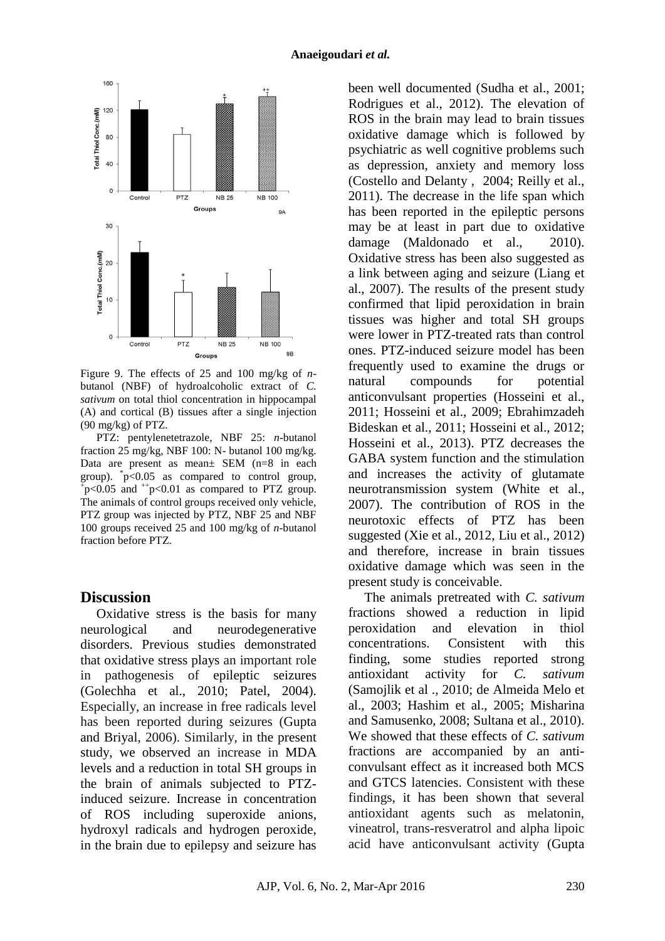

Figure 9. The effects of 25 and 100 mg/kg of *n*butanol (NBF) of hydroalcoholic extract of *C. sativum* on total thiol concentration in hippocampal (A) and cortical (B) tissues after a single injection (90 mg/kg) of PTZ.

PTZ: pentylenetetrazole, NBF 25: *n*-butanol fraction 25 mg/kg, NBF 100: N- butanol 100 mg/kg. Data are present as mean± SEM (n=8 in each group).  $\sqrt[3]{p}$ <0.05 as compared to control group,  $p \leq 0.05$  and  $+p \leq 0.01$  as compared to PTZ group. The animals of control groups received only vehicle, PTZ group was injected by PTZ, NBF 25 and NBF 100 groups received 25 and 100 mg/kg of *n*-butanol fraction before PTZ.

#### **Discussion**

Oxidative stress is the basis for many neurological and neurodegenerative disorders. Previous studies demonstrated that oxidative stress plays an important role in pathogenesis of epileptic seizures (Golechha et al., 2010; Patel, 2004). Especially, an increase in free radicals level has been reported during seizures (Gupta and Briyal, 2006). Similarly, in the present study, we observed an increase in MDA levels and a reduction in total SH groups in the brain of animals subjected to PTZinduced seizure. Increase in concentration of ROS including superoxide anions, hydroxyl radicals and hydrogen peroxide, in the brain due to epilepsy and seizure has

been well documented (Sudha et al., 2001; Rodrigues et al., 2012). The elevation of ROS in the brain may lead to brain tissues oxidative damage which is followed by psychiatric as well cognitive problems such as depression, anxiety and memory loss (Costello and Delanty , 2004; Reilly et al., 2011). The decrease in the life span which has been reported in the epileptic persons may be at least in part due to oxidative damage (Maldonado et al., 2010). Oxidative stress has been also suggested as a link between aging and seizure (Liang et al., 2007). The results of the present study confirmed that lipid peroxidation in brain tissues was higher and total SH groups were lower in PTZ-treated rats than control ones. PTZ-induced seizure model has been frequently used to examine the drugs or natural compounds for potential anticonvulsant properties (Hosseini et al., 2011; Hosseini et al., 2009; Ebrahimzadeh Bideskan et al., 2011; Hosseini et al., 2012; Hosseini et al., 2013). PTZ decreases the GABA system function and the stimulation and increases the activity of glutamate neurotransmission system (White et al., 2007). The contribution of ROS in the neurotoxic effects of PTZ has been suggested (Xie et al., 2012, Liu et al., 2012) and therefore, increase in brain tissues oxidative damage which was seen in the present study is conceivable.

The animals pretreated with *C. sativum* fractions showed a reduction in lipid peroxidation and elevation in thiol concentrations. Consistent with this finding, some studies reported strong antioxidant activity for *C. sativum* (Samojlik et al ., 2010; de Almeida Melo et al., 2003; Hashim et al., 2005; Misharina and Samusenko, 2008; Sultana et al., 2010). We showed that these effects of *C. sativum* fractions are accompanied by an anticonvulsant effect as it increased both MCS and GTCS latencies. Consistent with these findings, it has been shown that several antioxidant agents such as melatonin, vineatrol, trans-resveratrol and alpha lipoic acid have anticonvulsant activity (Gupta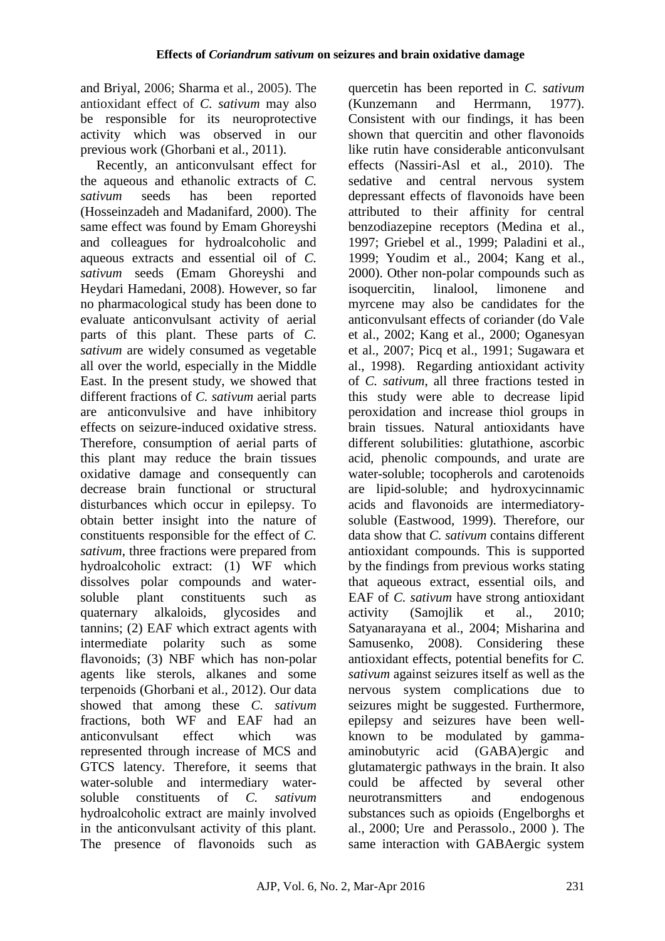and Briyal, 2006; Sharma et al., 2005). The antioxidant effect of *C. sativum* may also be responsible for its neuroprotective activity which was observed in our previous work (Ghorbani et al., 2011).

Recently, an anticonvulsant effect for the aqueous and ethanolic extracts of *C. sativum* seeds has been reported (Hosseinzadeh and Madanifard, 2000). The same effect was found by Emam Ghoreyshi and colleagues for hydroalcoholic and aqueous extracts and essential oil of *C. sativum* seeds (Emam Ghoreyshi and Heydari Hamedani, 2008). However, so far no pharmacological study has been done to evaluate anticonvulsant activity of aerial parts of this plant. These parts of *C. sativum* are widely consumed as vegetable all over the world, especially in the Middle East. In the present study, we showed that different fractions of *C. sativum* aerial parts are anticonvulsive and have inhibitory effects on seizure-induced oxidative stress. Therefore, consumption of aerial parts of this plant may reduce the brain tissues oxidative damage and consequently can decrease brain functional or structural disturbances which occur in epilepsy. To obtain better insight into the nature of constituents responsible for the effect of *C. sativum*, three fractions were prepared from hydroalcoholic extract: (1) WF which dissolves polar compounds and watersoluble plant constituents such as quaternary alkaloids, glycosides and tannins; (2) EAF which extract agents with intermediate polarity such as some flavonoids; (3) NBF which has non-polar agents like sterols, alkanes and some terpenoids (Ghorbani et al., 2012). Our data showed that among these *C. sativum* fractions, both WF and EAF had an anticonvulsant effect which was represented through increase of MCS and GTCS latency. Therefore, it seems that water-soluble and intermediary watersoluble constituents of *C. sativum* hydroalcoholic extract are mainly involved in the anticonvulsant activity of this plant. The presence of flavonoids such as quercetin has been reported in *C. sativum* (Kunzemann and Herrmann, 1977). Consistent with our findings, it has been shown that quercitin and other flavonoids like rutin have considerable anticonvulsant effects (Nassiri-Asl et al., 2010). The sedative and central nervous system depressant effects of flavonoids have been attributed to their affinity for central benzodiazepine receptors (Medina et al., 1997; Griebel et al., 1999; Paladini et al., 1999; Youdim et al., 2004; Kang et al., 2000). Other non-polar compounds such as isoquercitin, linalool, limonene and myrcene may also be candidates for the anticonvulsant effects of coriander (do Vale et al., 2002; Kang et al., 2000; Oganesyan et al., 2007; Picq et al., 1991; Sugawara et al., 1998). Regarding antioxidant activity of *C. sativum*, all three fractions tested in this study were able to decrease lipid peroxidation and increase thiol groups in brain tissues. Natural antioxidants have different solubilities: glutathione, ascorbic acid, phenolic compounds, and urate are water-soluble; tocopherols and carotenoids are lipid-soluble; and hydroxycinnamic acids and flavonoids are intermediatorysoluble (Eastwood, 1999). Therefore, our data show that *C. sativum* contains different antioxidant compounds. This is supported by the findings from previous works stating that aqueous extract, essential oils, and EAF of *C. sativum* have strong antioxidant activity (Samojlik et al., 2010; Satyanarayana et al., 2004; Misharina and Samusenko, 2008). Considering these antioxidant effects, potential benefits for *C. sativum* against seizures itself as well as the nervous system complications due to seizures might be suggested. Furthermore, epilepsy and seizures have been wellknown to be modulated by gammaaminobutyric acid (GABA)ergic and glutamatergic pathways in the brain. It also could be affected by several other neurotransmitters and endogenous substances such as opioids (Engelborghs et al., 2000; Ure and Perassolo., 2000 ). The same interaction with GABAergic system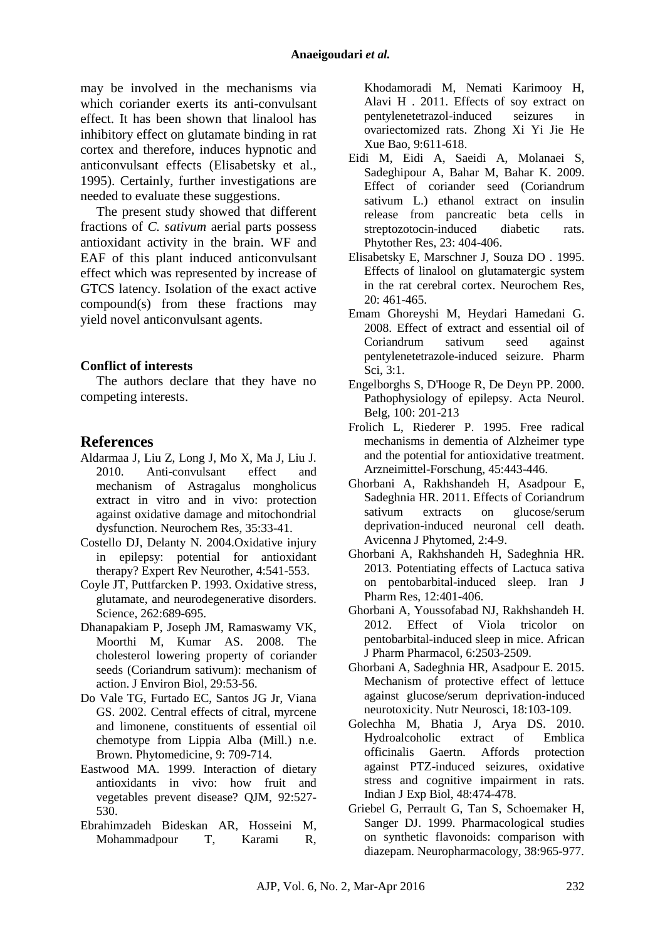may be involved in the mechanisms via which coriander exerts its anti-convulsant effect. It has been shown that linalool has inhibitory effect on glutamate binding in rat cortex and therefore, induces hypnotic and anticonvulsant effects (Elisabetsky et al., 1995). Certainly, further investigations are needed to evaluate these suggestions.

The present study showed that different fractions of *C. sativum* aerial parts possess antioxidant activity in the brain. WF and EAF of this plant induced anticonvulsant effect which was represented by increase of GTCS latency. Isolation of the exact active compound(s) from these fractions may yield novel anticonvulsant agents.

#### **Conflict of interests**

The authors declare that they have no competing interests.

### **References**

- Aldarmaa J, Liu Z, Long J, Mo X, Ma J, Liu J. 2010. Anti-convulsant effect and mechanism of Astragalus mongholicus extract in vitro and in vivo: protection against oxidative damage and mitochondrial dysfunction. Neurochem Res, 35:33-41.
- Costello DJ, Delanty N. 2004.Oxidative injury in epilepsy: potential for antioxidant therapy? Expert Rev Neurother, 4:541-553.
- Coyle JT, Puttfarcken P. 1993. Oxidative stress, glutamate, and neurodegenerative disorders. Science, 262:689-695.
- Dhanapakiam P, Joseph JM, Ramaswamy VK, Moorthi M, Kumar AS. 2008. The cholesterol lowering property of coriander seeds (Coriandrum sativum): mechanism of action. J Environ Biol, 29:53-56.
- Do Vale TG, Furtado EC, Santos JG Jr, Viana GS. 2002. Central effects of citral, myrcene and limonene, constituents of essential oil chemotype from Lippia Alba (Mill.) n.e. Brown. Phytomedicine, 9: 709-714.
- Eastwood MA. 1999. Interaction of dietary antioxidants in vivo: how fruit and vegetables prevent disease? QJM, 92:527- 530.
- Ebrahimzadeh Bideskan AR, Hosseini M, Mohammadpour T, Karami R,

Khodamoradi M, Nemati Karimooy H, [Alavi H](http://www.ncbi.nlm.nih.gov/pubmed/?term=Alavi%20H%5BAuthor%5D&cauthor=true&cauthor_uid=21669164) . 2011. Effects of soy extract on pentylenetetrazol-induced seizures in ovariectomized rats. Zhong Xi Yi Jie He Xue Bao, 9:611-618.

- Eidi M, Eidi A, Saeidi A, Molanaei S, Sadeghipour A, Bahar M, [Bahar K.](http://www.ncbi.nlm.nih.gov/pubmed/?term=Bahar%20K%5BAuthor%5D&cauthor=true&cauthor_uid=19003941) 2009. Effect of coriander seed (Coriandrum sativum L.) ethanol extract on insulin release from pancreatic beta cells in streptozotocin-induced diabetic rats. Phytother Res, 23: 404-406.
- [Elisabetsky E,](http://www.ncbi.nlm.nih.gov/pubmed?term=Elisabetsky%20E%5BAuthor%5D&cauthor=true&cauthor_uid=7651584) [Marschner J,](http://www.ncbi.nlm.nih.gov/pubmed?term=Marschner%20J%5BAuthor%5D&cauthor=true&cauthor_uid=7651584) [Souza DO](http://www.ncbi.nlm.nih.gov/pubmed?term=Souza%20DO%5BAuthor%5D&cauthor=true&cauthor_uid=7651584) . 1995. Effects of linalool on glutamatergic system in the rat cerebral cortex. Neurochem Res, 20: 461-465.
- Emam Ghoreyshi M, Heydari Hamedani G. 2008. Effect of extract and essential oil of Coriandrum sativum seed against pentylenetetrazole-induced seizure. Pharm Sci, 3:1.
- Engelborghs S, D'Hooge R, De Deyn PP. 2000. Pathophysiology of epilepsy. Acta Neurol. Belg, 100: 201-213
- Frolich L, Riederer P. 1995. Free radical mechanisms in dementia of Alzheimer type and the potential for antioxidative treatment. Arzneimittel-Forschung, 45:443-446.
- Ghorbani A, Rakhshandeh H, Asadpour E, Sadeghnia HR. 2011. Effects of Coriandrum sativum extracts on glucose/serum deprivation-induced neuronal cell death. Avicenna J Phytomed, 2:4-9.
- Ghorbani A, Rakhshandeh H, Sadeghnia HR. 2013. Potentiating effects of Lactuca sativa on pentobarbital-induced sleep. Iran J Pharm Res, 12:401-406.
- Ghorbani A, Youssofabad NJ, Rakhshandeh H. 2012. Effect of Viola tricolor on pentobarbital-induced sleep in mice. African J Pharm Pharmacol, 6:2503-2509.
- Ghorbani A, Sadeghnia HR, Asadpour E. 2015. Mechanism of protective effect of lettuce against glucose/serum deprivation-induced neurotoxicity. Nutr Neurosci, 18:103-109.
- Golechha M, Bhatia J, Arya DS. 2010. Hydroalcoholic extract of Emblica officinalis Gaertn. Affords protection against PTZ-induced seizures, oxidative stress and cognitive impairment in rats. Indian J Exp Biol, 48:474-478.
- Griebel G, Perrault G, Tan S, Schoemaker H, Sanger DJ. 1999. Pharmacological studies on synthetic flavonoids: comparison with diazepam. Neuropharmacology, 38:965-977.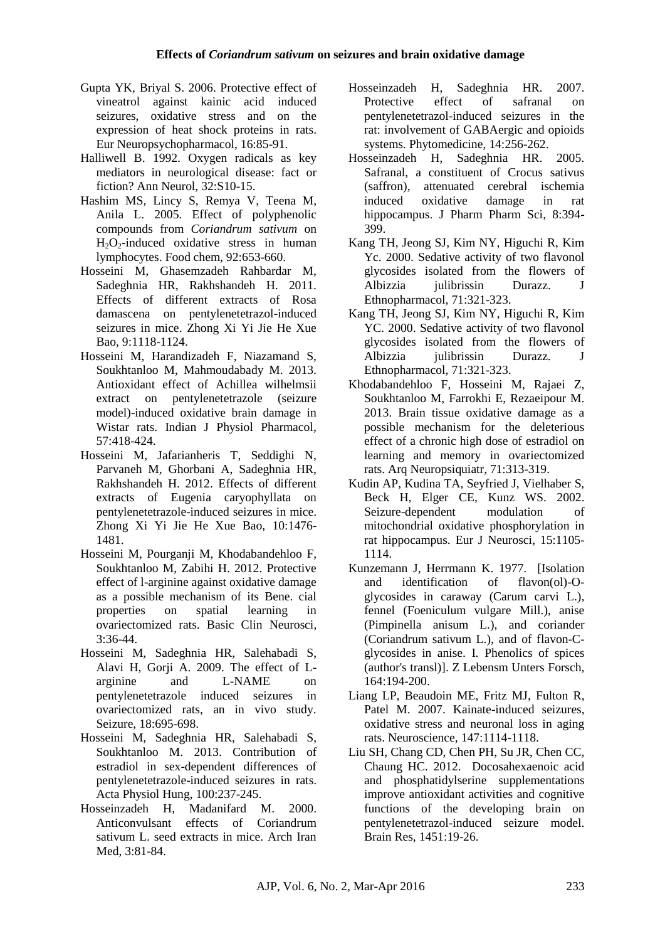- Gupta YK, Briyal S. 2006. Protective effect of vineatrol against kainic acid induced seizures, oxidative stress and on the expression of heat shock proteins in rats. Eur Neuropsychopharmacol, 16:85-91.
- Halliwell B. 1992. Oxygen radicals as key mediators in neurological disease: fact or fiction? Ann Neurol, 32:S10-15.
- Hashim MS, Lincy S, Remya V, Teena M, Anila L. 2005. Effect of polyphenolic compounds from *Coriandrum sativum* on  $H_2O_2$ -induced oxidative stress in human lymphocytes. Food chem, 92:653-660.
- Hosseini M, Ghasemzadeh Rahbardar M, Sadeghnia HR, Rakhshandeh H. 2011. Effects of different extracts of Rosa damascena on pentylenetetrazol-induced seizures in mice. Zhong Xi Yi Jie He Xue Bao, 9:1118-1124.
- Hosseini M, Harandizadeh F, Niazamand S, Soukhtanloo M, Mahmoudabady M. 2013. Antioxidant effect of Achillea wilhelmsii extract on pentylenetetrazole (seizure model)-induced oxidative brain damage in Wistar rats. Indian J Physiol Pharmacol, 57:418-424.
- Hosseini M, Jafarianheris T, Seddighi N, Parvaneh M, Ghorbani A, Sadeghnia HR, [Rakhshandeh H.](http://www.ncbi.nlm.nih.gov/pubmed/?term=Rakhshandeh%20H%5BAuthor%5D&cauthor=true&cauthor_uid=23257144) 2012. Effects of different extracts of Eugenia caryophyllata on pentylenetetrazole-induced seizures in mice. Zhong Xi Yi Jie He Xue Bao, 10:1476- 1481.
- Hosseini M, Pourganji M, Khodabandehloo F, Soukhtanloo M, Zabihi H. 2012. Protective effect of l-arginine against oxidative damage as a possible mechanism of its Bene. cial properties on spatial learning in ovariectomized rats. Basic Clin Neurosci, 3:36-44.
- Hosseini M, Sadeghnia HR, Salehabadi S, Alavi H, Gorji A. 2009. The effect of Larginine and L-NAME on pentylenetetrazole induced seizures in ovariectomized rats, an in vivo study. Seizure, 18:695-698.
- Hosseini M, Sadeghnia HR, Salehabadi S, Soukhtanloo M. 2013. Contribution of estradiol in sex-dependent differences of pentylenetetrazole-induced seizures in rats. Acta Physiol Hung, 100:237-245.
- Hosseinzadeh H, Madanifard M. 2000. Anticonvulsant effects of Coriandrum sativum L. seed extracts in mice. Arch Iran Med, 3:81-84.
- [Hosseinzadeh H,](http://www.ncbi.nlm.nih.gov/pubmed?term=Hosseinzadeh%20H%5BAuthor%5D&cauthor=true&cauthor_uid=16707256) [Sadeghnia HR.](http://www.ncbi.nlm.nih.gov/pubmed?term=Sadeghnia%20HR%5BAuthor%5D&cauthor=true&cauthor_uid=16707256) 2007. Protective effect of safranal on pentylenetetrazol-induced seizures in the rat: involvement of GABAergic and opioids systems. [Phytomedicine,](http://www.ncbi.nlm.nih.gov/pubmed/?term=Protective+effect+of+safranal+on+pentylenetetrazol-induced+seizures+in+the+rat%3A+involvement+of+GABAergic+and+opioids+systems) 14:256-262.
- Hosseinzadeh H, Sadeghnia HR. 2005. Safranal, a constituent of Crocus sativus (saffron), attenuated cerebral ischemia induced oxidative damage in rat hippocampus. J Pharm Pharm Sci, 8:394- 399.
- Kang TH, Jeong SJ, Kim NY, Higuchi R, Kim Yc. 2000. Sedative activity of two flavonol glycosides isolated from the flowers of Albizzia julibrissin Durazz. J Ethnopharmacol, 71:321-323.
- Kang TH, Jeong SJ, Kim NY, Higuchi R, Kim YC. 2000. Sedative activity of two flavonol glycosides isolated from the flowers of Albizzia julibrissin Durazz. J Ethnopharmacol, 71:321-323.
- Khodabandehloo F, Hosseini M, Rajaei Z, Soukhtanloo M, Farrokhi E, Rezaeipour M. 2013. Brain tissue oxidative damage as a possible mechanism for the deleterious effect of a chronic high dose of estradiol on learning and memory in ovariectomized rats. Arq Neuropsiquiatr, 71:313-319.
- Kudin AP, Kudina TA, Seyfried J, Vielhaber S, Beck H, Elger CE, [Kunz WS.](http://www.ncbi.nlm.nih.gov/pubmed/?term=Kunz%20WS%5BAuthor%5D&cauthor=true&cauthor_uid=11982622) 2002. Seizure-dependent modulation of mitochondrial oxidative phosphorylation in rat hippocampus. Eur J Neurosci, 15:1105- 1114.
- Kunzemann J, Herrmann K. 1977. [Isolation and identification of flavon(ol)-Oglycosides in caraway (Carum carvi L.), fennel (Foeniculum vulgare Mill.), anise (Pimpinella anisum L.), and coriander (Coriandrum sativum L.), and of flavon-Cglycosides in anise. I. Phenolics of spices (author's transl)]. Z Lebensm Unters Forsch, 164:194-200.
- Liang LP, Beaudoin ME, Fritz MJ, Fulton R, Patel M. 2007. Kainate-induced seizures, oxidative stress and neuronal loss in aging rats. Neuroscience, 147:1114-1118.
- Liu SH, Chang CD, Chen PH, Su JR, Chen CC, Chaung HC. 2012. Docosahexaenoic acid and phosphatidylserine supplementations improve antioxidant activities and cognitive functions of the developing brain on pentylenetetrazol-induced seizure model. Brain Res, 1451:19-26.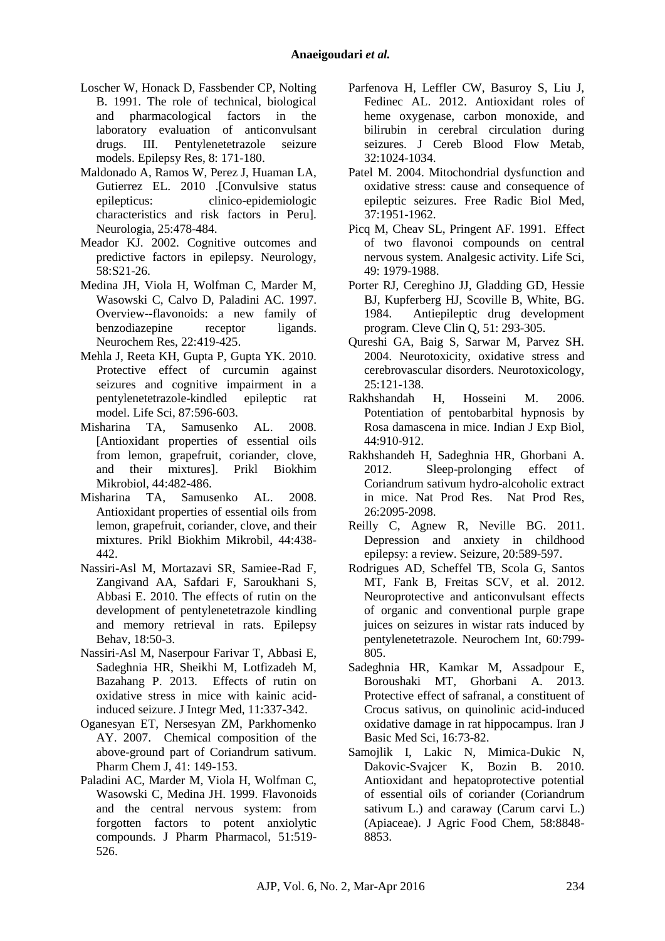- Loscher W, Honack D, Fassbender CP, Nolting B. 1991. The role of technical, biological and pharmacological factors in the laboratory evaluation of anticonvulsant drugs. III. Pentylenetetrazole seizure models. Epilepsy Res, 8: 171-180.
- Maldonado A, Ramos W, Perez J, Huaman LA, Gutierrez EL. 2010 .[Convulsive status epilepticus: clinico-epidemiologic characteristics and risk factors in Peru]. Neurologia, 25:478-484.
- Meador KJ. 2002. Cognitive outcomes and predictive factors in epilepsy. Neurology, 58:S21-26.
- Medina JH, Viola H, Wolfman C, Marder M, Wasowski C, Calvo D, [Paladini AC.](http://www.ncbi.nlm.nih.gov/pubmed/?term=Paladini%20AC%5BAuthor%5D&cauthor=true&cauthor_uid=9130252) 1997. Overview--flavonoids: a new family of benzodiazepine receptor ligands. Neurochem Res, 22:419-425.
- Mehla J, Reeta KH, Gupta P, Gupta YK. 2010. Protective effect of curcumin against seizures and cognitive impairment in a pentylenetetrazole-kindled epileptic rat model. Life Sci, 87:596-603.
- Misharina TA, Samusenko AL. 2008. [Antioxidant properties of essential oils from lemon, grapefruit, coriander, clove, and their mixtures]. Prikl Biokhim Mikrobiol, 44:482-486.
- Misharina TA, Samusenko AL. 2008. Antioxidant properties of essential oils from lemon, grapefruit, coriander, clove, and their mixtures. Prikl Biokhim Mikrobil, 44:438- 442.
- Nassiri-Asl M, Mortazavi SR, Samiee-Rad F, Zangivand AA, Safdari F, Saroukhani S, [Abbasi E.](http://www.ncbi.nlm.nih.gov/pubmed/?term=Abbasi%20E%5BAuthor%5D&cauthor=true&cauthor_uid=20452834) 2010. The effects of rutin on the development of pentylenetetrazole kindling and memory retrieval in rats. Epilepsy Behav, 18:50-3.
- Nassiri-Asl M, Naserpour Farivar T, Abbasi E, Sadeghnia HR, Sheikhi M, Lotfizadeh M, [Bazahang P.](http://www.ncbi.nlm.nih.gov/pubmed/?term=Bazahang%20P%5BAuthor%5D&cauthor=true&cauthor_uid=24063781) 2013. Effects of rutin on oxidative stress in mice with kainic acidinduced seizure. J Integr Med, 11:337-342.
- Oganesyan ET, Nersesyan ZM, Parkhomenko AY. 2007. Chemical composition of the above-ground part of Coriandrum sativum. Pharm Chem J, 41: 149-153.
- Paladini AC, Marder M, Viola H, Wolfman C, Wasowski C, Medina JH. 1999. Flavonoids and the central nervous system: from forgotten factors to potent anxiolytic compounds. J Pharm Pharmacol, 51:519- 526.
- Parfenova H, Leffler CW, Basuroy S, Liu J, Fedinec AL. 2012. Antioxidant roles of heme oxygenase, carbon monoxide, and bilirubin in cerebral circulation during seizures. J Cereb Blood Flow Metab, 32:1024-1034.
- Patel M. 2004. Mitochondrial dysfunction and oxidative stress: cause and consequence of epileptic seizures. Free Radic Biol Med, 37:1951-1962.
- Picq M, Cheav SL, Pringent AF. 1991. Effect of two flavonoi compounds on central nervous system. Analgesic activity. Life Sci, 49: 1979-1988.
- Porter RJ, Cereghino JJ, Gladding GD, Hessie BJ, Kupferberg HJ, Scoville B, White, BG. 1984. Antiepileptic drug development program. [Cleve Clin Q,](http://www.ncbi.nlm.nih.gov/pubmed/6380818) 51: 293-305.
- Qureshi GA, Baig S, Sarwar M, Parvez SH. 2004. Neurotoxicity, oxidative stress and cerebrovascular disorders. Neurotoxicology, 25:121-138.
- Rakhshandah H, Hosseini M. 2006. Potentiation of pentobarbital hypnosis by Rosa damascena in mice. Indian J Exp Biol, 44:910-912.
- Rakhshandeh H, Sadeghnia HR, Ghorbani A. 2012. Sleep-prolonging effect of Coriandrum sativum hydro-alcoholic extract in mice. Nat Prod Res. Nat Prod Res, 26:2095-2098.
- Reilly C, Agnew R, Neville BG. 2011. Depression and anxiety in childhood epilepsy: a review. Seizure, 20:589-597.
- Rodrigues AD, Scheffel TB, Scola G, Santos MT, Fank B, Freitas SCV, et al. 2012. Neuroprotective and anticonvulsant effects of organic and conventional purple grape juices on seizures in wistar rats induced by pentylenetetrazole. [Neurochem Int,](http://www.ncbi.nlm.nih.gov/pubmed/?term=Neuroprotective+and+Anticonvulsant+Effects+of+Organic+and+Conventional+Purple+Grape+Juices+on+Seizures+in+Wistar+Rats+Induced+by+Pentylenetetrazole) 60:799- 805.
- Sadeghnia HR, Kamkar M, Assadpour E, Boroushaki MT, Ghorbani A. 2013. Protective effect of safranal, a constituent of Crocus sativus, on quinolinic acid-induced oxidative damage in rat hippocampus. Iran J Basic Med Sci, 16:73-82.
- Samojlik I, Lakic N, Mimica-Dukic N, Dakovic-Svajcer K, Bozin B. 2010. Antioxidant and hepatoprotective potential of essential oils of coriander (Coriandrum sativum L.) and caraway (Carum carvi L.) (Apiaceae). J Agric Food Chem, 58:8848- 8853.